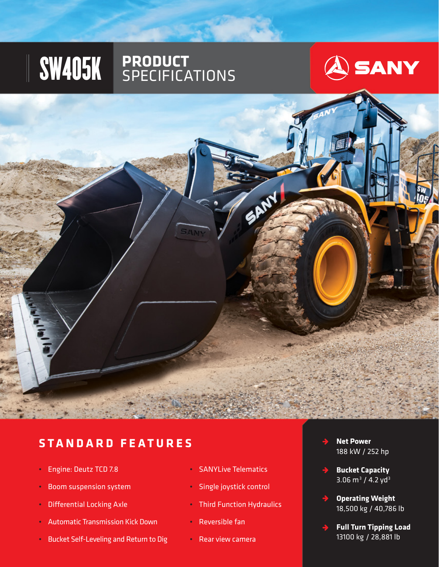# SW405K **PRODUCT** SPECIFICATIONS





#### **STANDARD FEATURES**

- Engine: Deutz TCD 7.8
- Boom suspension system
- Differential Locking Axle
- Automatic Transmission Kick Down
- Bucket Self-Leveling and Return to Dig
- SANYLive Telematics
- Single joystick control
- Third Function Hydraulics
- Reversible fan
- Rear view camera
- **Net Power**  188 kW / 252 hp
- **Bucket Capacity**  $3.06 \text{ m}^3 / 4.2 \text{ yd}^3$
- **Operating Weight** 18,500 kg / 40,786 lb
- **Full Turn Tipping Load** 13100 kg / 28,881 lb